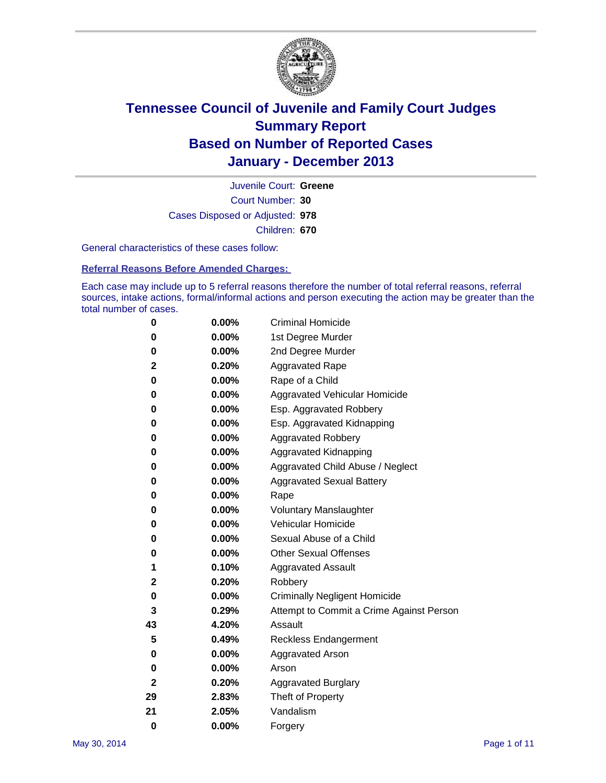

Court Number: **30** Juvenile Court: **Greene** Cases Disposed or Adjusted: **978** Children: **670**

General characteristics of these cases follow:

**Referral Reasons Before Amended Charges:** 

Each case may include up to 5 referral reasons therefore the number of total referral reasons, referral sources, intake actions, formal/informal actions and person executing the action may be greater than the total number of cases.

| 0            | 0.00%    | <b>Criminal Homicide</b>                 |
|--------------|----------|------------------------------------------|
| 0            | 0.00%    | 1st Degree Murder                        |
| 0            | 0.00%    | 2nd Degree Murder                        |
| 2            | 0.20%    | <b>Aggravated Rape</b>                   |
| 0            | 0.00%    | Rape of a Child                          |
| 0            | 0.00%    | <b>Aggravated Vehicular Homicide</b>     |
| 0            | $0.00\%$ | Esp. Aggravated Robbery                  |
| 0            | 0.00%    | Esp. Aggravated Kidnapping               |
| 0            | 0.00%    | <b>Aggravated Robbery</b>                |
| 0            | 0.00%    | Aggravated Kidnapping                    |
| 0            | 0.00%    | Aggravated Child Abuse / Neglect         |
| 0            | 0.00%    | <b>Aggravated Sexual Battery</b>         |
| 0            | 0.00%    | Rape                                     |
| 0            | 0.00%    | <b>Voluntary Manslaughter</b>            |
| 0            | 0.00%    | Vehicular Homicide                       |
| 0            | 0.00%    | Sexual Abuse of a Child                  |
| 0            | 0.00%    | <b>Other Sexual Offenses</b>             |
| 1            | 0.10%    | <b>Aggravated Assault</b>                |
| 2            | 0.20%    | Robbery                                  |
| 0            | 0.00%    | <b>Criminally Negligent Homicide</b>     |
| 3            | 0.29%    | Attempt to Commit a Crime Against Person |
| 43           | 4.20%    | Assault                                  |
| 5            | 0.49%    | <b>Reckless Endangerment</b>             |
| 0            | 0.00%    | <b>Aggravated Arson</b>                  |
| 0            | 0.00%    | Arson                                    |
| $\mathbf{2}$ | 0.20%    | <b>Aggravated Burglary</b>               |
| 29           | 2.83%    | Theft of Property                        |
| 21           | 2.05%    | Vandalism                                |
| $\bf{0}$     | 0.00%    | Forgery                                  |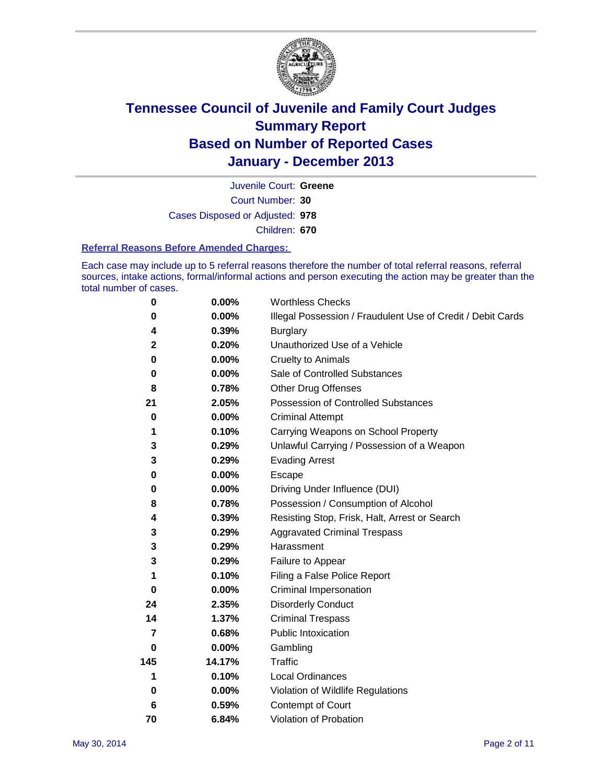

Court Number: **30** Juvenile Court: **Greene** Cases Disposed or Adjusted: **978** Children: **670**

#### **Referral Reasons Before Amended Charges:**

Each case may include up to 5 referral reasons therefore the number of total referral reasons, referral sources, intake actions, formal/informal actions and person executing the action may be greater than the total number of cases.

| 0           | 0.00%    | <b>Worthless Checks</b>                                     |
|-------------|----------|-------------------------------------------------------------|
| 0           | 0.00%    | Illegal Possession / Fraudulent Use of Credit / Debit Cards |
| 4           | 0.39%    | <b>Burglary</b>                                             |
| $\mathbf 2$ | 0.20%    | Unauthorized Use of a Vehicle                               |
| 0           | 0.00%    | <b>Cruelty to Animals</b>                                   |
| 0           | 0.00%    | Sale of Controlled Substances                               |
| 8           | 0.78%    | <b>Other Drug Offenses</b>                                  |
| 21          | 2.05%    | Possession of Controlled Substances                         |
| 0           | 0.00%    | <b>Criminal Attempt</b>                                     |
| 1           | 0.10%    | Carrying Weapons on School Property                         |
| 3           | 0.29%    | Unlawful Carrying / Possession of a Weapon                  |
| 3           | 0.29%    | <b>Evading Arrest</b>                                       |
| 0           | 0.00%    | Escape                                                      |
| 0           | 0.00%    | Driving Under Influence (DUI)                               |
| 8           | 0.78%    | Possession / Consumption of Alcohol                         |
| 4           | 0.39%    | Resisting Stop, Frisk, Halt, Arrest or Search               |
| 3           | 0.29%    | <b>Aggravated Criminal Trespass</b>                         |
| 3           | 0.29%    | Harassment                                                  |
| 3           | 0.29%    | Failure to Appear                                           |
| 1           | 0.10%    | Filing a False Police Report                                |
| 0           | $0.00\%$ | Criminal Impersonation                                      |
| 24          | 2.35%    | <b>Disorderly Conduct</b>                                   |
| 14          | 1.37%    | <b>Criminal Trespass</b>                                    |
| 7           | 0.68%    | <b>Public Intoxication</b>                                  |
| 0           | 0.00%    | Gambling                                                    |
| 145         | 14.17%   | Traffic                                                     |
| 1           | 0.10%    | <b>Local Ordinances</b>                                     |
| 0           | 0.00%    | Violation of Wildlife Regulations                           |
| 6           | 0.59%    | Contempt of Court                                           |
| 70          | 6.84%    | Violation of Probation                                      |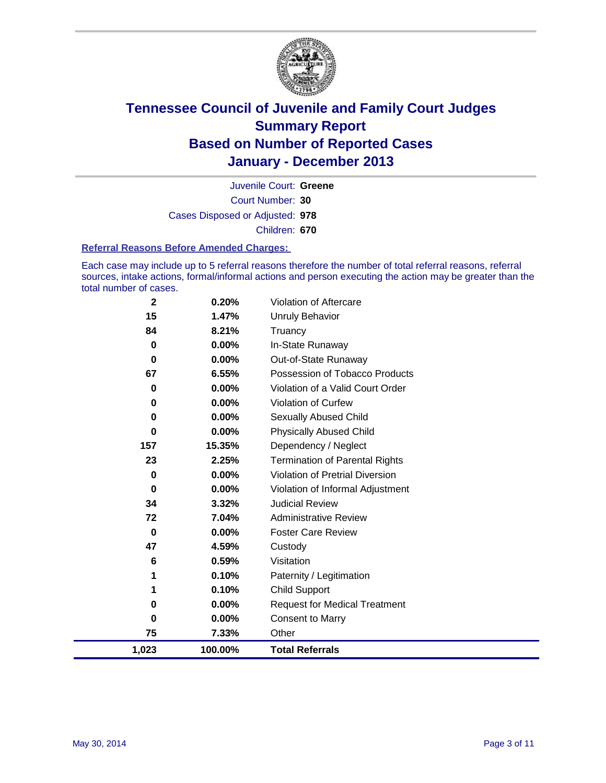

Court Number: **30** Juvenile Court: **Greene** Cases Disposed or Adjusted: **978** Children: **670**

#### **Referral Reasons Before Amended Charges:**

Each case may include up to 5 referral reasons therefore the number of total referral reasons, referral sources, intake actions, formal/informal actions and person executing the action may be greater than the total number of cases.

| 1,023        | 100.00%  | <b>Total Referrals</b>                 |
|--------------|----------|----------------------------------------|
| 75           | 7.33%    | Other                                  |
| 0            | 0.00%    | Consent to Marry                       |
| 0            | 0.00%    | <b>Request for Medical Treatment</b>   |
| 1            | 0.10%    | <b>Child Support</b>                   |
| 1            | 0.10%    | Paternity / Legitimation               |
| 6            | 0.59%    | Visitation                             |
| 47           | 4.59%    | Custody                                |
| 0            | 0.00%    | <b>Foster Care Review</b>              |
| 72           | 7.04%    | <b>Administrative Review</b>           |
| 34           | 3.32%    | <b>Judicial Review</b>                 |
| 0            | 0.00%    | Violation of Informal Adjustment       |
| 0            | $0.00\%$ | <b>Violation of Pretrial Diversion</b> |
| 23           | 2.25%    | <b>Termination of Parental Rights</b>  |
| 157          | 15.35%   | Dependency / Neglect                   |
| 0            | 0.00%    | <b>Physically Abused Child</b>         |
| 0            | $0.00\%$ | Sexually Abused Child                  |
| 0            | $0.00\%$ | <b>Violation of Curfew</b>             |
| 0            | 0.00%    | Violation of a Valid Court Order       |
| 67           | 6.55%    | Possession of Tobacco Products         |
| 0            | $0.00\%$ | Out-of-State Runaway                   |
| $\mathbf 0$  | 0.00%    | In-State Runaway                       |
| 84           | 8.21%    | Truancy                                |
| 15           | 1.47%    | Unruly Behavior                        |
| $\mathbf{2}$ | 0.20%    | Violation of Aftercare                 |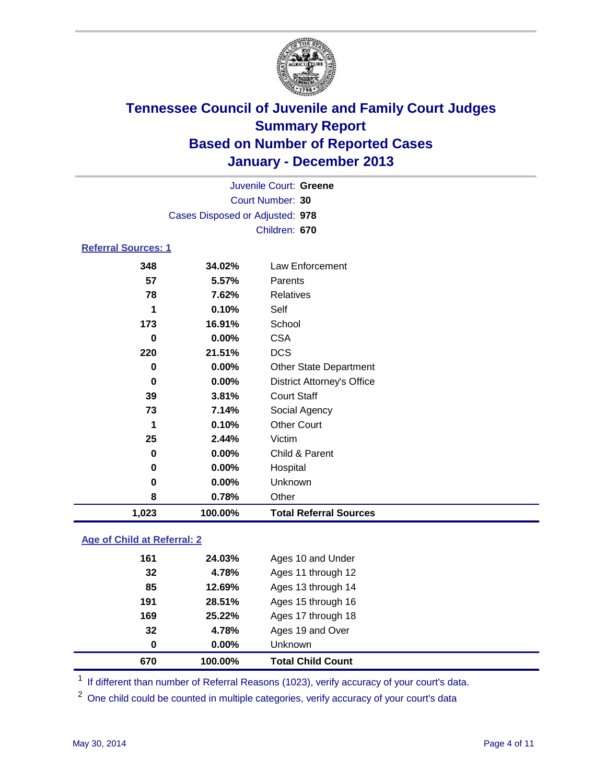

|                            | Juvenile Court: Greene          |                                   |  |  |  |
|----------------------------|---------------------------------|-----------------------------------|--|--|--|
|                            | Court Number: 30                |                                   |  |  |  |
|                            | Cases Disposed or Adjusted: 978 |                                   |  |  |  |
|                            |                                 | Children: 670                     |  |  |  |
| <b>Referral Sources: 1</b> |                                 |                                   |  |  |  |
| 348                        | 34.02%                          | Law Enforcement                   |  |  |  |
| 57                         | 5.57%                           | Parents                           |  |  |  |
| 78                         | 7.62%                           | <b>Relatives</b>                  |  |  |  |
| 1                          | 0.10%                           | Self                              |  |  |  |
| 173                        | 16.91%                          | School                            |  |  |  |
| 0                          | $0.00\%$                        | <b>CSA</b>                        |  |  |  |
| 220                        | 21.51%                          | <b>DCS</b>                        |  |  |  |
| 0                          | 0.00%                           | <b>Other State Department</b>     |  |  |  |
| 0                          | $0.00\%$                        | <b>District Attorney's Office</b> |  |  |  |
| 39                         | 3.81%                           | <b>Court Staff</b>                |  |  |  |
| 73                         | 7.14%                           | Social Agency                     |  |  |  |
| 1                          | 0.10%                           | <b>Other Court</b>                |  |  |  |
| 25                         | 2.44%                           | Victim                            |  |  |  |
| 0                          | $0.00\%$                        | Child & Parent                    |  |  |  |
| 0                          | $0.00\%$                        | Hospital                          |  |  |  |
| 0                          | 0.00%                           | Unknown                           |  |  |  |
| 8                          | 0.78%                           | Other                             |  |  |  |
| 1,023                      | 100.00%                         | <b>Total Referral Sources</b>     |  |  |  |

### **Age of Child at Referral: 2**

| 670<br>100.00% | <b>Total Child Count</b> |
|----------------|--------------------------|
| 0.00%<br>0     | <b>Unknown</b>           |
| 32<br>4.78%    | Ages 19 and Over         |
| 25.22%<br>169  | Ages 17 through 18       |
| 191<br>28.51%  | Ages 15 through 16       |
| 85<br>12.69%   | Ages 13 through 14       |
| 4.78%<br>32    | Ages 11 through 12       |
| 24.03%<br>161  | Ages 10 and Under        |
|                |                          |

<sup>1</sup> If different than number of Referral Reasons (1023), verify accuracy of your court's data.

<sup>2</sup> One child could be counted in multiple categories, verify accuracy of your court's data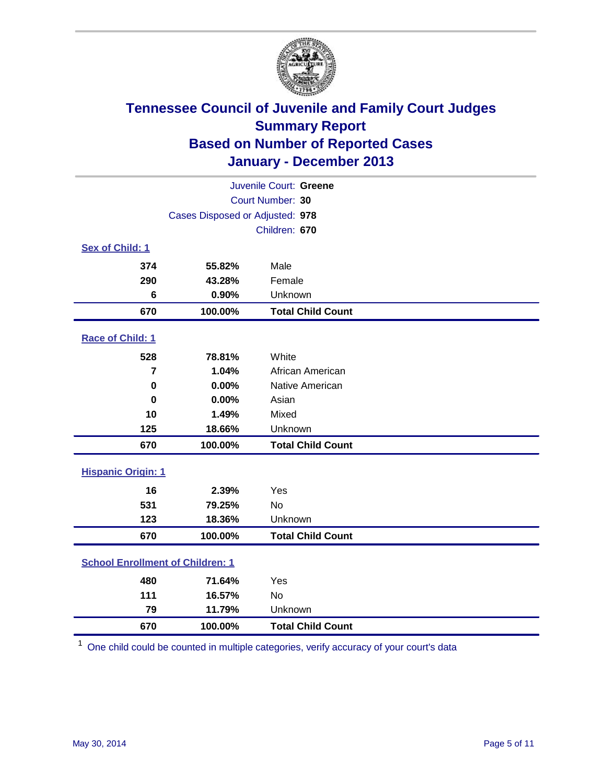

| Juvenile Court: Greene                  |                                 |                          |  |  |
|-----------------------------------------|---------------------------------|--------------------------|--|--|
|                                         | Court Number: 30                |                          |  |  |
|                                         | Cases Disposed or Adjusted: 978 |                          |  |  |
|                                         |                                 | Children: 670            |  |  |
| Sex of Child: 1                         |                                 |                          |  |  |
| 374                                     | 55.82%                          | Male                     |  |  |
| 290                                     | 43.28%                          | Female                   |  |  |
| 6                                       | 0.90%                           | Unknown                  |  |  |
| 670                                     | 100.00%                         | <b>Total Child Count</b> |  |  |
| Race of Child: 1                        |                                 |                          |  |  |
| 528                                     | 78.81%                          | White                    |  |  |
| $\overline{7}$                          | 1.04%                           | African American         |  |  |
| $\mathbf 0$                             | 0.00%                           | Native American          |  |  |
| 0                                       | 0.00%                           | Asian                    |  |  |
| 10                                      | 1.49%                           | Mixed                    |  |  |
| 125                                     | 18.66%                          | Unknown                  |  |  |
| 670                                     | 100.00%                         | <b>Total Child Count</b> |  |  |
| <b>Hispanic Origin: 1</b>               |                                 |                          |  |  |
| 16                                      | 2.39%                           | Yes                      |  |  |
| 531                                     | 79.25%                          | <b>No</b>                |  |  |
| 123                                     | 18.36%                          | Unknown                  |  |  |
| 670                                     | 100.00%                         | <b>Total Child Count</b> |  |  |
| <b>School Enrollment of Children: 1</b> |                                 |                          |  |  |
| 480                                     | 71.64%                          | Yes                      |  |  |
| 111                                     | 16.57%                          | <b>No</b>                |  |  |
| 79                                      | 11.79%                          | Unknown                  |  |  |
| 670                                     | 100.00%                         | <b>Total Child Count</b> |  |  |

One child could be counted in multiple categories, verify accuracy of your court's data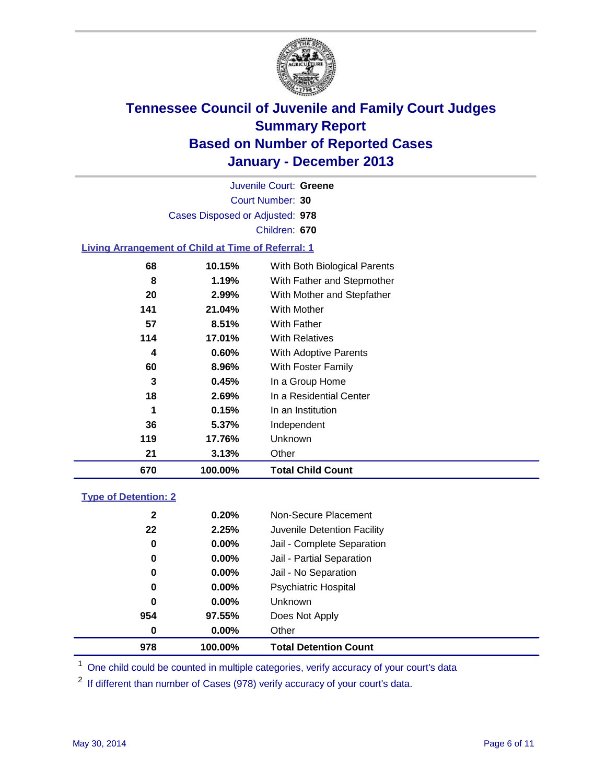

Court Number: **30** Juvenile Court: **Greene** Cases Disposed or Adjusted: **978** Children: **670**

### **Living Arrangement of Child at Time of Referral: 1**

| 670 | 100.00% | <b>Total Child Count</b>     |  |
|-----|---------|------------------------------|--|
| 21  | 3.13%   | Other                        |  |
| 119 | 17.76%  | Unknown                      |  |
| 36  | 5.37%   | Independent                  |  |
| 1   | 0.15%   | In an Institution            |  |
| 18  | 2.69%   | In a Residential Center      |  |
| 3   | 0.45%   | In a Group Home              |  |
| 60  | 8.96%   | With Foster Family           |  |
| 4   | 0.60%   | With Adoptive Parents        |  |
| 114 | 17.01%  | <b>With Relatives</b>        |  |
| 57  | 8.51%   | With Father                  |  |
| 141 | 21.04%  | With Mother                  |  |
| 20  | 2.99%   | With Mother and Stepfather   |  |
| 8   | 1.19%   | With Father and Stepmother   |  |
| 68  | 10.15%  | With Both Biological Parents |  |
|     |         |                              |  |

#### **Type of Detention: 2**

| 978          | 100.00%  | <b>Total Detention Count</b> |  |
|--------------|----------|------------------------------|--|
| 0            | $0.00\%$ | Other                        |  |
| 954          | 97.55%   | Does Not Apply               |  |
| 0            | $0.00\%$ | <b>Unknown</b>               |  |
| 0            | $0.00\%$ | <b>Psychiatric Hospital</b>  |  |
| 0            | 0.00%    | Jail - No Separation         |  |
| 0            | $0.00\%$ | Jail - Partial Separation    |  |
| 0            | 0.00%    | Jail - Complete Separation   |  |
| 22           | 2.25%    | Juvenile Detention Facility  |  |
| $\mathbf{2}$ | 0.20%    | Non-Secure Placement         |  |
|              |          |                              |  |

<sup>1</sup> One child could be counted in multiple categories, verify accuracy of your court's data

<sup>2</sup> If different than number of Cases (978) verify accuracy of your court's data.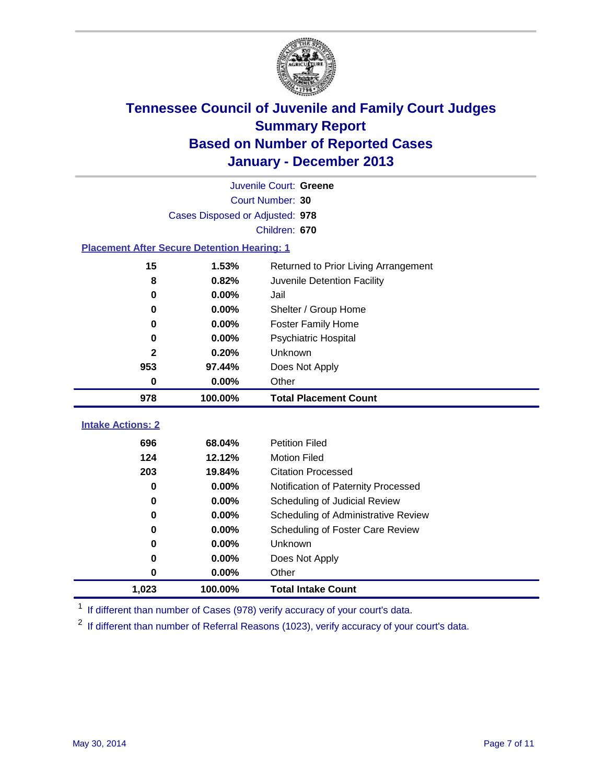

| Juvenile Court: Greene                             |                                 |                                      |  |  |  |
|----------------------------------------------------|---------------------------------|--------------------------------------|--|--|--|
|                                                    | Court Number: 30                |                                      |  |  |  |
|                                                    | Cases Disposed or Adjusted: 978 |                                      |  |  |  |
|                                                    |                                 | Children: 670                        |  |  |  |
| <b>Placement After Secure Detention Hearing: 1</b> |                                 |                                      |  |  |  |
| 15                                                 | 1.53%                           | Returned to Prior Living Arrangement |  |  |  |
| 8                                                  | 0.82%                           | Juvenile Detention Facility          |  |  |  |
| 0                                                  | 0.00%                           | Jail                                 |  |  |  |
| 0                                                  | 0.00%                           | Shelter / Group Home                 |  |  |  |
| 0                                                  | 0.00%                           | <b>Foster Family Home</b>            |  |  |  |
| $\bf{0}$                                           | 0.00%                           | Psychiatric Hospital                 |  |  |  |
| $\mathbf{2}$                                       | 0.20%                           | Unknown                              |  |  |  |
| 953                                                | 97.44%                          | Does Not Apply                       |  |  |  |
| $\bf{0}$                                           | 0.00%                           | Other                                |  |  |  |
| 978                                                | 100.00%                         | <b>Total Placement Count</b>         |  |  |  |
|                                                    |                                 |                                      |  |  |  |
| <b>Intake Actions: 2</b>                           |                                 |                                      |  |  |  |
| 696                                                | 68.04%                          | <b>Petition Filed</b>                |  |  |  |
| 124                                                | 12.12%                          | <b>Motion Filed</b>                  |  |  |  |
| 203                                                | 19.84%                          | <b>Citation Processed</b>            |  |  |  |
| $\bf{0}$                                           | 0.00%                           | Notification of Paternity Processed  |  |  |  |
| $\bf{0}$                                           | 0.00%                           | Scheduling of Judicial Review        |  |  |  |
| $\bf{0}$                                           | 0.00%                           | Scheduling of Administrative Review  |  |  |  |
| 0                                                  | 0.00%                           | Scheduling of Foster Care Review     |  |  |  |
| 0                                                  | 0.00%                           | Unknown                              |  |  |  |
| $\bf{0}$                                           | 0.00%                           | Does Not Apply                       |  |  |  |
| 0                                                  | 0.00%                           | Other                                |  |  |  |
| 1,023                                              | 100.00%                         | <b>Total Intake Count</b>            |  |  |  |

<sup>1</sup> If different than number of Cases (978) verify accuracy of your court's data.

<sup>2</sup> If different than number of Referral Reasons (1023), verify accuracy of your court's data.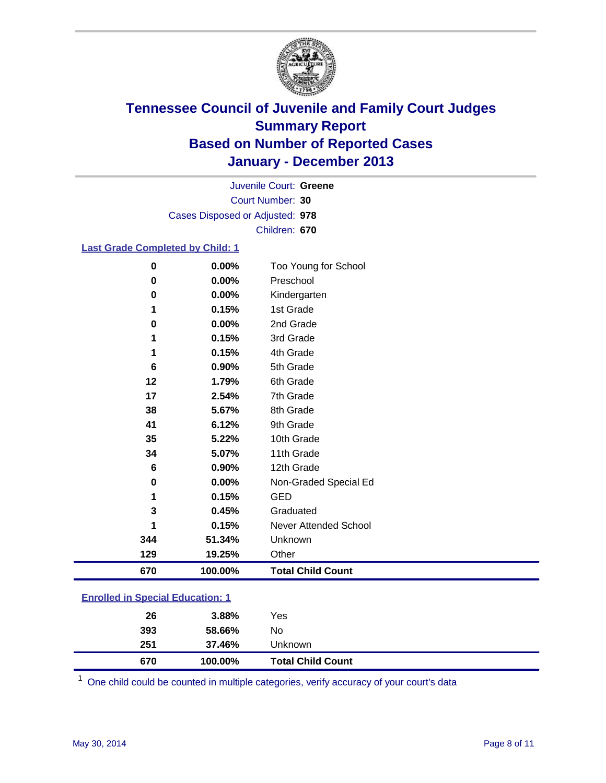

Court Number: **30** Juvenile Court: **Greene** Cases Disposed or Adjusted: **978** Children: **670**

#### **Last Grade Completed by Child: 1**

| $\mathbf 0$ | 0.00%   | Too Young for School         |
|-------------|---------|------------------------------|
| $\bf{0}$    | 0.00%   | Preschool                    |
| 0           | 0.00%   | Kindergarten                 |
| 1           | 0.15%   | 1st Grade                    |
| $\bf{0}$    | 0.00%   | 2nd Grade                    |
| 1           | 0.15%   | 3rd Grade                    |
| 1           | 0.15%   | 4th Grade                    |
| 6           | 0.90%   | 5th Grade                    |
| 12          | 1.79%   | 6th Grade                    |
| 17          | 2.54%   | 7th Grade                    |
| 38          | 5.67%   | 8th Grade                    |
| 41          | 6.12%   | 9th Grade                    |
| 35          | 5.22%   | 10th Grade                   |
| 34          | 5.07%   | 11th Grade                   |
| 6           | 0.90%   | 12th Grade                   |
| 0           | 0.00%   | Non-Graded Special Ed        |
|             | 0.15%   | <b>GED</b>                   |
| 3           | 0.45%   | Graduated                    |
| 1           | 0.15%   | <b>Never Attended School</b> |
| 344         | 51.34%  | Unknown                      |
| 129         | 19.25%  | Other                        |
| 670         | 100.00% | <b>Total Child Count</b>     |

### **Enrolled in Special Education: 1**

| 670 |     | 100.00% | <b>Total Child Count</b> |
|-----|-----|---------|--------------------------|
| 251 |     | 37.46%  | Unknown                  |
|     | 393 | 58.66%  | No                       |
|     | 26  | 3.88%   | Yes                      |
|     |     |         |                          |

One child could be counted in multiple categories, verify accuracy of your court's data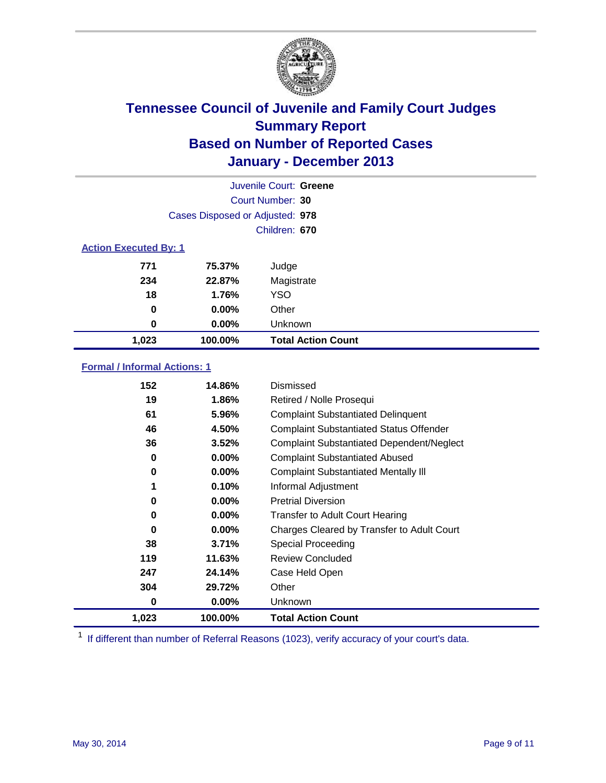

| Juvenile Court: Greene       |                                 |                           |  |  |  |
|------------------------------|---------------------------------|---------------------------|--|--|--|
|                              | Court Number: 30                |                           |  |  |  |
|                              | Cases Disposed or Adjusted: 978 |                           |  |  |  |
|                              |                                 | Children: 670             |  |  |  |
| <b>Action Executed By: 1</b> |                                 |                           |  |  |  |
| 771                          | 75.37%                          | Judge                     |  |  |  |
| 234                          | 22.87%                          | Magistrate                |  |  |  |
| 18                           | 1.76%                           | <b>YSO</b>                |  |  |  |
| 0                            | 0.00%                           | Other                     |  |  |  |
| 0                            | 0.00%                           | Unknown                   |  |  |  |
| 1,023                        | 100.00%                         | <b>Total Action Count</b> |  |  |  |

### **Formal / Informal Actions: 1**

| 152   | 14.86%   | Dismissed                                        |
|-------|----------|--------------------------------------------------|
| 19    | 1.86%    | Retired / Nolle Prosequi                         |
| 61    | 5.96%    | <b>Complaint Substantiated Delinquent</b>        |
| 46    | 4.50%    | <b>Complaint Substantiated Status Offender</b>   |
| 36    | 3.52%    | <b>Complaint Substantiated Dependent/Neglect</b> |
| 0     | $0.00\%$ | <b>Complaint Substantiated Abused</b>            |
| 0     | $0.00\%$ | <b>Complaint Substantiated Mentally III</b>      |
| 1     | 0.10%    | Informal Adjustment                              |
| 0     | $0.00\%$ | <b>Pretrial Diversion</b>                        |
| 0     | $0.00\%$ | <b>Transfer to Adult Court Hearing</b>           |
| 0     | 0.00%    | Charges Cleared by Transfer to Adult Court       |
| 38    | 3.71%    | Special Proceeding                               |
| 119   | 11.63%   | <b>Review Concluded</b>                          |
| 247   | 24.14%   | Case Held Open                                   |
| 304   | 29.72%   | Other                                            |
| 0     | $0.00\%$ | Unknown                                          |
| 1,023 | 100.00%  | <b>Total Action Count</b>                        |

<sup>1</sup> If different than number of Referral Reasons (1023), verify accuracy of your court's data.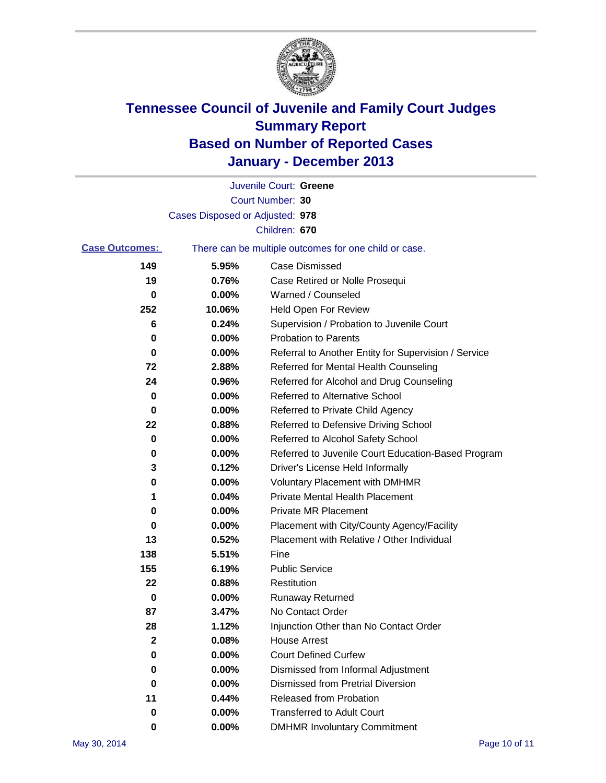

|                       |                                 | Juvenile Court: Greene                                |
|-----------------------|---------------------------------|-------------------------------------------------------|
|                       |                                 | Court Number: 30                                      |
|                       | Cases Disposed or Adjusted: 978 |                                                       |
|                       |                                 | Children: 670                                         |
| <b>Case Outcomes:</b> |                                 | There can be multiple outcomes for one child or case. |
| 149                   | 5.95%                           | Case Dismissed                                        |
| 19                    | 0.76%                           | Case Retired or Nolle Prosequi                        |
| 0                     | 0.00%                           | Warned / Counseled                                    |
| 252                   | 10.06%                          | <b>Held Open For Review</b>                           |
| 6                     | 0.24%                           | Supervision / Probation to Juvenile Court             |
| 0                     | 0.00%                           | <b>Probation to Parents</b>                           |
| 0                     | 0.00%                           | Referral to Another Entity for Supervision / Service  |
| 72                    | 2.88%                           | Referred for Mental Health Counseling                 |
| 24                    | 0.96%                           | Referred for Alcohol and Drug Counseling              |
| 0                     | 0.00%                           | <b>Referred to Alternative School</b>                 |
| 0                     | 0.00%                           | Referred to Private Child Agency                      |
| 22                    | 0.88%                           | Referred to Defensive Driving School                  |
| 0                     | 0.00%                           | Referred to Alcohol Safety School                     |
| 0                     | 0.00%                           | Referred to Juvenile Court Education-Based Program    |
| 3                     | 0.12%                           | Driver's License Held Informally                      |
| 0                     | 0.00%                           | <b>Voluntary Placement with DMHMR</b>                 |
| 1                     | 0.04%                           | <b>Private Mental Health Placement</b>                |
| 0                     | 0.00%                           | <b>Private MR Placement</b>                           |
| 0                     | 0.00%                           | Placement with City/County Agency/Facility            |
| 13                    | 0.52%                           | Placement with Relative / Other Individual            |
| 138                   | 5.51%                           | Fine                                                  |
| 155                   | 6.19%                           | <b>Public Service</b>                                 |
| 22                    | 0.88%                           | Restitution                                           |
| 0                     | 0.00%                           | <b>Runaway Returned</b>                               |
| 87                    | 3.47%                           | No Contact Order                                      |
| 28                    | 1.12%                           | Injunction Other than No Contact Order                |
| $\mathbf 2$           | 0.08%                           | <b>House Arrest</b>                                   |
| 0                     | 0.00%                           | <b>Court Defined Curfew</b>                           |
| 0                     | 0.00%                           | Dismissed from Informal Adjustment                    |
| 0                     | 0.00%                           | <b>Dismissed from Pretrial Diversion</b>              |
| 11                    | 0.44%                           | Released from Probation                               |
| 0                     | 0.00%                           | <b>Transferred to Adult Court</b>                     |
| 0                     | $0.00\%$                        | <b>DMHMR Involuntary Commitment</b>                   |